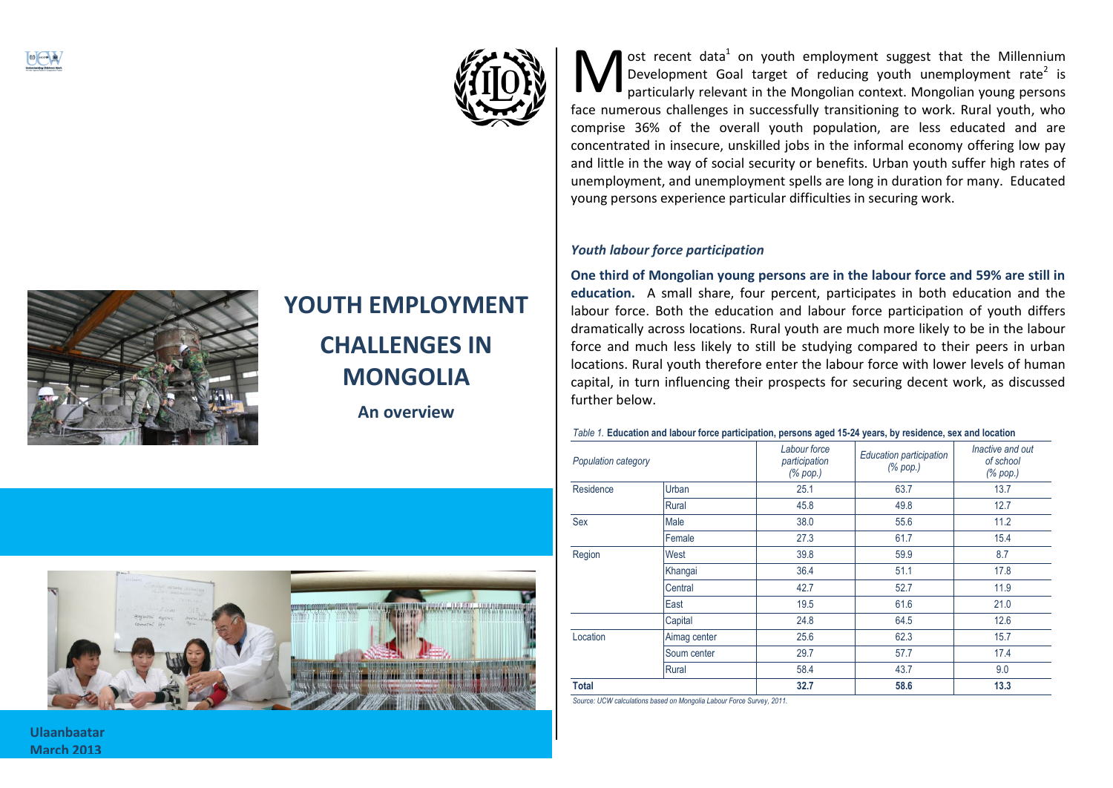



# **YOUTH EMPLOYMENT CHALLENGES IN MONGOLIA**

**An overview**



ost recent data<sup>1</sup> on youth employment suggest that the Millennium Development Goal target of reducing youth unemployment rate<sup>2</sup> is particularly relevant in the Mongolian context. Mongolian young persons **face 19 Allen Standard Standard Standard Standard Standard Standard Standard Standard Standard Standard Standard Standard Standard Standard Standard Standard Standard Standard Standard Standard Standard Standard Standard** comprise 36% of the overall youth population, are less educated and are concentrated in insecure, unskilled jobs in the informal economy offering low pay and little in the way of social security or benefits. Urban youth suffer high rates of unemployment, and unemployment spells are long in duration for many. Educated young persons experience particular difficulties in securing work.

# *Youth labour force participation*

**One third of Mongolian young persons are in the labour force and 59% are still in education.** A small share, four percent, participates in both education and the labour force. Both the education and labour force participation of youth differs dramatically across locations. Rural youth are much more likely to be in the labour force and much less likely to still be studying compared to their peers in urban locations. Rural youth therefore enter the labour force with lower levels of human capital, in turn influencing their prospects for securing decent work, as discussed further below.

#### *Table 1.* **Education and labour force participation, persons aged 15-24 years, by residence, sex and location**

| Population category |              | Labour force<br>participation<br>(% pop.) | <b>Education participation</b><br>$(% \mathcal{L}_{0}$ (% pop.) | Inactive and out<br>of school<br>(% pop.) |
|---------------------|--------------|-------------------------------------------|-----------------------------------------------------------------|-------------------------------------------|
| Residence           | Urban        | 25.1                                      | 63.7                                                            | 13.7                                      |
|                     | Rural        | 45.8                                      | 49.8                                                            | 12.7                                      |
| Sex                 | Male         | 38.0                                      | 55.6                                                            | 11.2                                      |
|                     | Female       | 27.3                                      | 61.7                                                            | 15.4                                      |
| Region              | West         | 39.8                                      | 59.9                                                            | 8.7                                       |
|                     | Khangai      | 36.4                                      | 51.1                                                            | 17.8                                      |
|                     | Central      | 42.7                                      | 52.7                                                            | 11.9                                      |
|                     | East         | 19.5                                      | 61.6                                                            | 21.0                                      |
|                     | Capital      | 24.8                                      | 64.5                                                            | 12.6                                      |
| Location            | Aimag center | 25.6                                      | 62.3                                                            | 15.7                                      |
|                     | Soum center  | 29.7                                      | 57.7                                                            | 17.4                                      |
|                     | Rural        | 58.4                                      | 43.7                                                            | 9.0                                       |
| <b>Total</b>        |              | 32.7                                      | 58.6                                                            | 13.3                                      |

*Source: UCW calculations based on Mongolia Labour Force Survey, 2011.*

**Ulaanbaatar March 2013**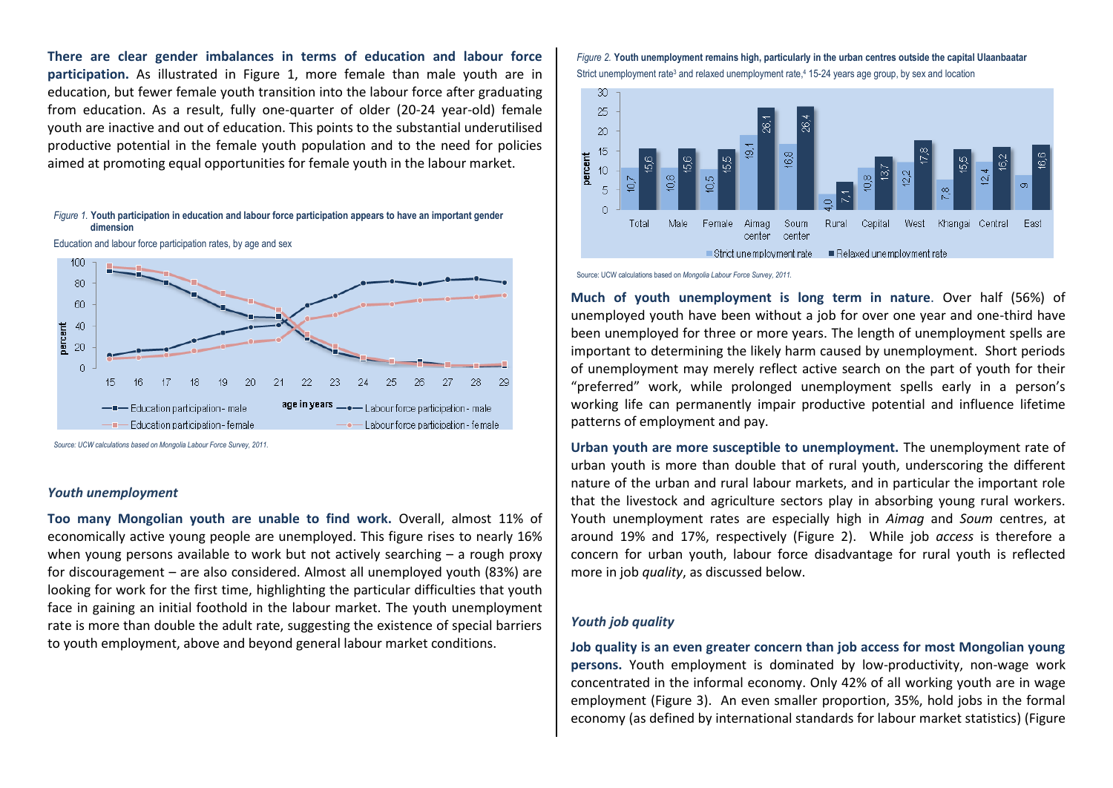**There are clear gender imbalances in terms of education and labour force participation.** As illustrated in [Figure 1,](#page-1-0) more female than male youth are in education, but fewer female youth transition into the labour force after graduating from education. As a result, fully one-quarter of older (20-24 year-old) female youth are inactive and out of education. This points to the substantial underutilised productive potential in the female youth population and to the need for policies aimed at promoting equal opportunities for female youth in the labour market.

#### <span id="page-1-0"></span>*Figure 1.* **Youth participation in education and labour force participation appears to have an important gender dimension**

Education and labour force participation rates, by age and sex



*Source: UCW calculations based on Mongolia Labour Force Survey, 2011.*

# *Youth unemployment*

**Too many Mongolian youth are unable to find work.** Overall, almost 11% of economically active young people are unemployed. This figure rises to nearly 16% when young persons available to work but not actively searching – a rough proxy for discouragement – are also considered. Almost all unemployed youth (83%) are looking for work for the first time, highlighting the particular difficulties that youth face in gaining an initial foothold in the labour market. The youth unemployment rate is more than double the adult rate, suggesting the existence of special barriers to youth employment, above and beyond general labour market conditions.

### <span id="page-1-1"></span>*Figure 2.* **Youth unemployment remains high, particularly in the urban centres outside the capital Ulaanbaatar** Strict unemployment rate<sup>3</sup> and relaxed unemployment rate,<sup>4</sup> 15-24 years age group, by sex and location



Source: UCW calculations based on *Mongolia Labour Force Survey, 2011.*

**Much of youth unemployment is long term in nature**. Over half (56%) of unemployed youth have been without a job for over one year and one-third have been unemployed for three or more years. The length of unemployment spells are important to determining the likely harm caused by unemployment. Short periods of unemployment may merely reflect active search on the part of youth for their "preferred" work, while prolonged unemployment spells early in a person's working life can permanently impair productive potential and influence lifetime patterns of employment and pay.

**Urban youth are more susceptible to unemployment.** The unemployment rate of urban youth is more than double that of rural youth, underscoring the different nature of the urban and rural labour markets, and in particular the important role that the livestock and agriculture sectors play in absorbing young rural workers. Youth unemployment rates are especially high in *Aimag* and *Soum* centres, at around 19% and 17%, respectively [\(Figure 2\)](#page-1-1). While job *access* is therefore a concern for urban youth, labour force disadvantage for rural youth is reflected more in job *quality*, as discussed below.

# *Youth job quality*

**Job quality is an even greater concern than job access for most Mongolian young persons.** Youth employment is dominated by low-productivity, non-wage work concentrated in the informal economy. Only 42% of all working youth are in wage employment [\(Figure 3\)](#page-2-0). An even smaller proportion, 35%, hold jobs in the formal economy (as defined by international standards for labour market statistics) [\(Figure](#page-2-1)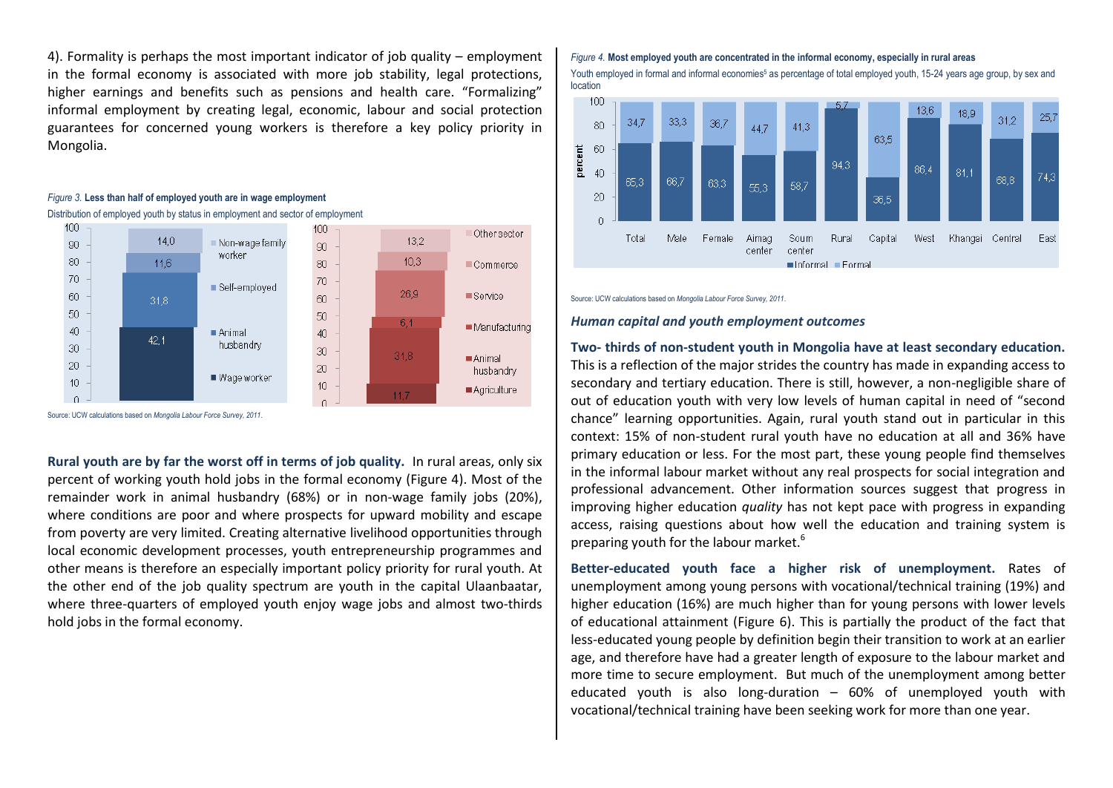[4\)](#page-2-1). Formality is perhaps the most important indicator of job quality – employment in the formal economy is associated with more job stability, legal protections, higher earnings and benefits such as pensions and health care. "Formalizing" informal employment by creating legal, economic, labour and social protection guarantees for concerned young workers is therefore a key policy priority in Mongolia.

# <span id="page-2-0"></span>*Figure 3.* **Less than half of employed youth are in wage employment**





Source: UCW calculations based on *Mongolia Labour Force Survey, 2011*.

**Rural youth are by far the worst off in terms of job quality.** In rural areas, only six percent of working youth hold jobs in the formal economy [\(Figure 4\)](#page-2-1). Most of the remainder work in animal husbandry (68%) or in non-wage family jobs (20%), where conditions are poor and where prospects for upward mobility and escape from poverty are very limited. Creating alternative livelihood opportunities through local economic development processes, youth entrepreneurship programmes and other means is therefore an especially important policy priority for rural youth. At the other end of the job quality spectrum are youth in the capital Ulaanbaatar, where three-quarters of employed youth enjoy wage jobs and almost two-thirds hold jobs in the formal economy.

# <span id="page-2-1"></span>*Figure 4.* **Most employed youth are concentrated in the informal economy, especially in rural areas**

Youth employed in formal and informal economies<sup>5</sup> as percentage of total employed youth, 15-24 years age group, by sex and location



Source: UCW calculations based on *Mongolia Labour Force Survey, 2011*.

# *Human capital and youth employment outcomes*

# **Two- thirds of non-student youth in Mongolia have at least secondary education.**  This is a reflection of the major strides the country has made in expanding access to secondary and tertiary education. There is still, however, a non-negligible share of out of education youth with very low levels of human capital in need of "second chance" learning opportunities. Again, rural youth stand out in particular in this context: 15% of non-student rural youth have no education at all and 36% have primary education or less. For the most part, these young people find themselves in the informal labour market without any real prospects for social integration and professional advancement. Other information sources suggest that progress in improving higher education *quality* has not kept pace with progress in expanding access, raising questions about how well the education and training system is preparing youth for the labour market.<sup>6</sup>

**Better-educated youth face a higher risk of unemployment.** Rates of unemployment among young persons with vocational/technical training (19%) and higher education (16%) are much higher than for young persons with lower levels of educational attainment [\(Figure 6\)](#page-3-0). This is partially the product of the fact that less-educated young people by definition begin their transition to work at an earlier age, and therefore have had a greater length of exposure to the labour market and more time to secure employment. But much of the unemployment among better educated youth is also long-duration  $-60\%$  of unemployed youth with vocational/technical training have been seeking work for more than one year.